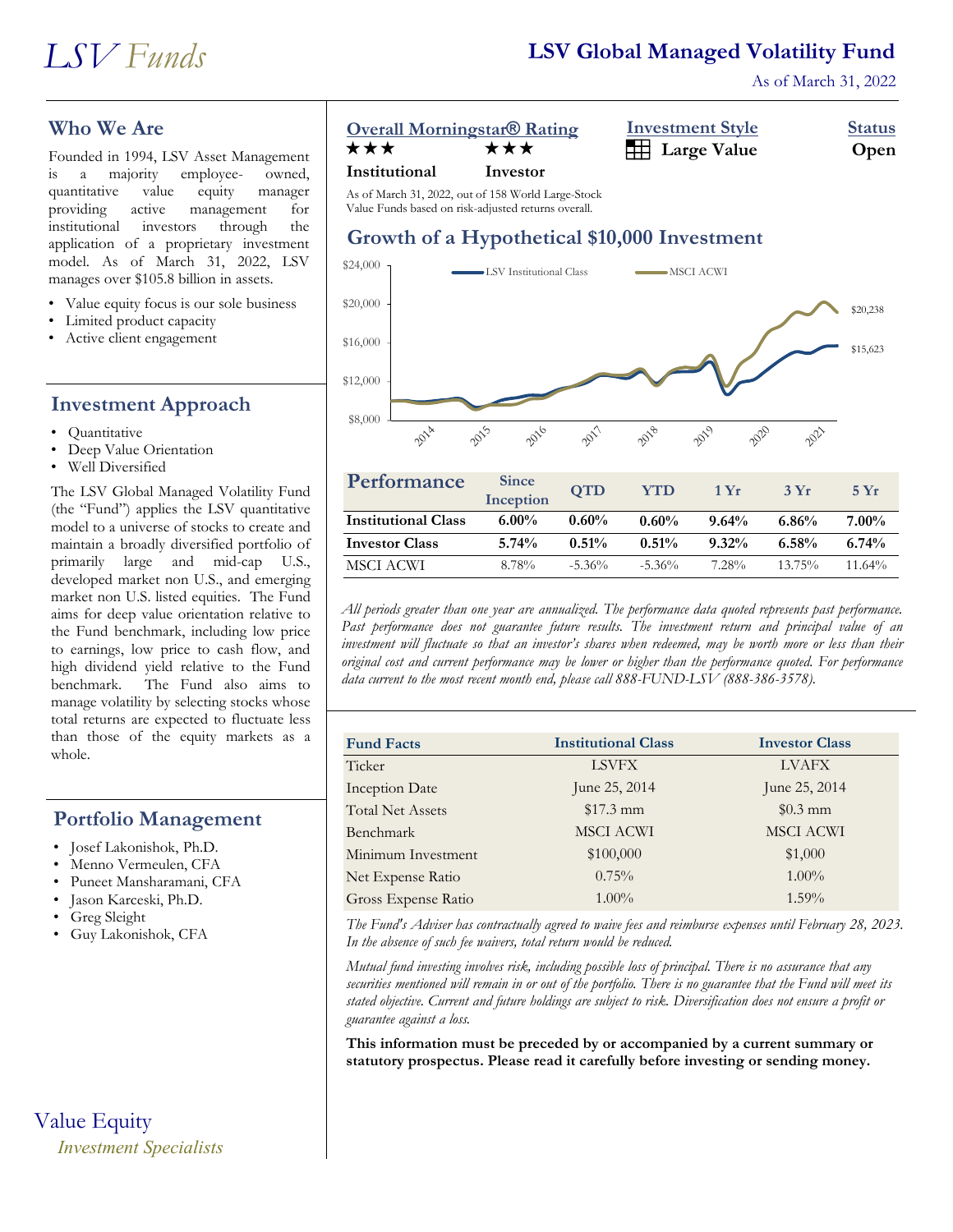As of March 31, 2022

## **Who We Are**

Founded in 1994, LSV Asset Management is a majority employee- owned, quantitative value equity manager providing active management for institutional investors through the application of a proprietary investment model. As of March 31, 2022, LSV manages over \$105.8 billion in assets.

- Value equity focus is our sole business
- Limited product capacity
- Active client engagement

## **Investment Approach**

- Quantitative
- Deep Value Orientation
- Well Diversified

The LSV Global Managed Volatility Fund (the "Fund") applies the LSV quantitative model to a universe of stocks to create and maintain a broadly diversified portfolio of primarily large and mid-cap U.S., developed market non U.S., and emerging market non U.S. listed equities. The Fund aims for deep value orientation relative to the Fund benchmark, including low price to earnings, low price to cash flow, and high dividend yield relative to the Fund benchmark. The Fund also aims to manage volatility by selecting stocks whose total returns are expected to fluctuate less than those of the equity markets as a whole.

## **Portfolio Management**

- Josef Lakonishok, Ph.D.
- Menno Vermeulen, CFA
- Puneet Mansharamani, CFA
- Jason Karceski, Ph.D.
- Greg Sleight
- Guy Lakonishok, CFA

Value Equity *Investment Specialists*

## **Overall Morningstar® Rating Investment Style Status**

| <b>Overall Morningstar Rating</b> |     | <b>INVESURIERE OIVIE</b>     | olalus |
|-----------------------------------|-----|------------------------------|--------|
| ★★★                               | ★★★ | <b>Example 3</b> Large Value | Open   |

#### **Institutional Investor**

As of March 31, 2022, out of 158 World Large-Stock Value Funds based on risk-adjusted returns overall.

# **Growth of a Hypothetical \$10,000 Investment**



| Performance                | <b>Since</b><br>Inception | <b>OTD</b> | <b>YTD</b> | 1 Yr     | 3Yr       | 5 Yr      |
|----------------------------|---------------------------|------------|------------|----------|-----------|-----------|
| <b>Institutional Class</b> | $6.00\%$                  | $0.60\%$   | $0.60\%$   | $9.64\%$ | 6.86%     | $7.00\%$  |
| <b>Investor Class</b>      | $5.74\%$                  | $0.51\%$   | 0.51%      | $9.32\%$ | $6.58\%$  | 6.74%     |
| MSCI ACWI                  | 8.78%                     | $-5.36\%$  | $-5.36\%$  | 7.28%    | $13.75\%$ | $11.64\%$ |

*All periods greater than one year are annualized. The performance data quoted represents past performance. Past performance does not guarantee future results. The investment return and principal value of an investment will fluctuate so that an investor's shares when redeemed, may be worth more or less than their original cost and current performance may be lower or higher than the performance quoted. For performance data current to the most recent month end, please call 888-FUND-LSV (888-386-3578).*

| <b>Fund Facts</b>       | <b>Institutional Class</b> | <b>Investor Class</b> |
|-------------------------|----------------------------|-----------------------|
| Ticker                  | <b>LSVFX</b>               | <b>LVAFX</b>          |
| <b>Inception Date</b>   | June 25, 2014              | June 25, 2014         |
| <b>Total Net Assets</b> | $$17.3 \text{ mm}$         | $$0.3$ mm             |
| Benchmark               | <b>MSCI ACWI</b>           | <b>MSCI ACWI</b>      |
| Minimum Investment      | \$100,000                  | \$1,000               |
| Net Expense Ratio       | $0.75\%$                   | $1.00\%$              |
| Gross Expense Ratio     | $1.00\%$                   | $1.59\%$              |

*The Fund's Adviser has contractually agreed to waive fees and reimburse expenses until February 28, 2023. In the absence of such fee waivers, total return would be reduced.*

*Mutual fund investing involves risk, including possible loss of principal. There is no assurance that any securities mentioned will remain in or out of the portfolio. There is no guarantee that the Fund will meet its stated objective. Current and future holdings are subject to risk. Diversification does not ensure a profit or guarantee against a loss.*

**This information must be preceded by or accompanied by a current summary or statutory prospectus. Please read it carefully before investing or sending money.**